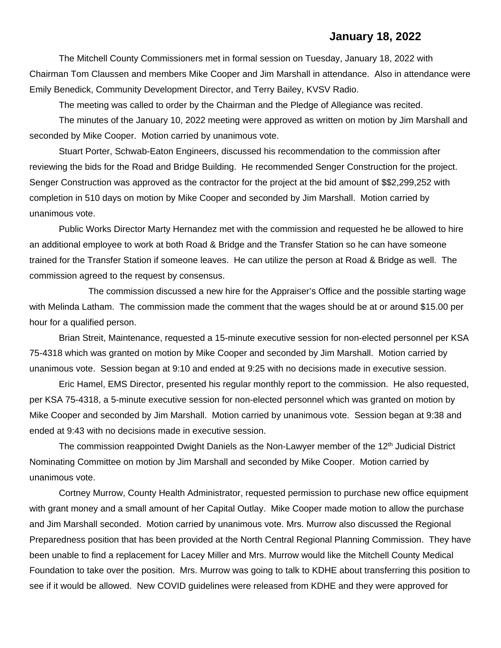## **January 18, 2022**

The Mitchell County Commissioners met in formal session on Tuesday, January 18, 2022 with Chairman Tom Claussen and members Mike Cooper and Jim Marshall in attendance. Also in attendance were Emily Benedick, Community Development Director, and Terry Bailey, KVSV Radio.

The meeting was called to order by the Chairman and the Pledge of Allegiance was recited.

The minutes of the January 10, 2022 meeting were approved as written on motion by Jim Marshall and seconded by Mike Cooper. Motion carried by unanimous vote.

Stuart Porter, Schwab-Eaton Engineers, discussed his recommendation to the commission after reviewing the bids for the Road and Bridge Building. He recommended Senger Construction for the project. Senger Construction was approved as the contractor for the project at the bid amount of \$\$2,299,252 with completion in 510 days on motion by Mike Cooper and seconded by Jim Marshall. Motion carried by unanimous vote.

Public Works Director Marty Hernandez met with the commission and requested he be allowed to hire an additional employee to work at both Road & Bridge and the Transfer Station so he can have someone trained for the Transfer Station if someone leaves. He can utilize the person at Road & Bridge as well. The commission agreed to the request by consensus.

The commission discussed a new hire for the Appraiser's Office and the possible starting wage with Melinda Latham. The commission made the comment that the wages should be at or around \$15.00 per hour for a qualified person.

Brian Streit, Maintenance, requested a 15-minute executive session for non-elected personnel per KSA 75-4318 which was granted on motion by Mike Cooper and seconded by Jim Marshall. Motion carried by unanimous vote. Session began at 9:10 and ended at 9:25 with no decisions made in executive session.

Eric Hamel, EMS Director, presented his regular monthly report to the commission. He also requested, per KSA 75-4318, a 5-minute executive session for non-elected personnel which was granted on motion by Mike Cooper and seconded by Jim Marshall. Motion carried by unanimous vote. Session began at 9:38 and ended at 9:43 with no decisions made in executive session.

The commission reappointed Dwight Daniels as the Non-Lawyer member of the  $12<sup>th</sup>$  Judicial District Nominating Committee on motion by Jim Marshall and seconded by Mike Cooper. Motion carried by unanimous vote.

Cortney Murrow, County Health Administrator, requested permission to purchase new office equipment with grant money and a small amount of her Capital Outlay. Mike Cooper made motion to allow the purchase and Jim Marshall seconded. Motion carried by unanimous vote. Mrs. Murrow also discussed the Regional Preparedness position that has been provided at the North Central Regional Planning Commission. They have been unable to find a replacement for Lacey Miller and Mrs. Murrow would like the Mitchell County Medical Foundation to take over the position. Mrs. Murrow was going to talk to KDHE about transferring this position to see if it would be allowed. New COVID guidelines were released from KDHE and they were approved for